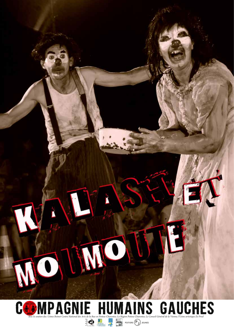